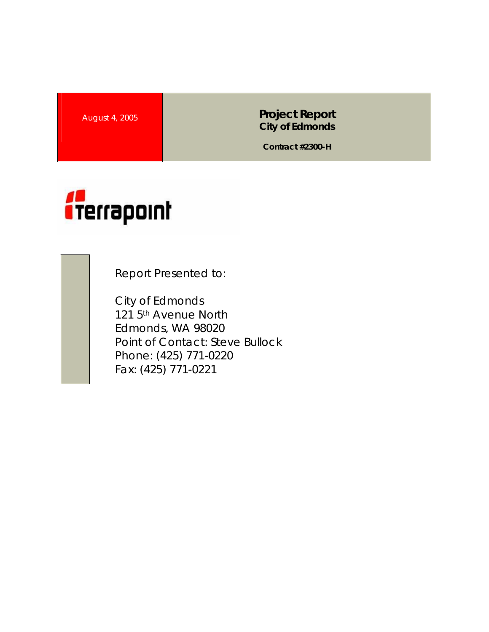**August 4, 2005 <b>Project Report Project Report City of Edmonds** 

**Contract #2300-H** 



Report Presented to:

City of Edmonds 121 5<sup>th</sup> Avenue North Edmonds, WA 98020 Point of Contact: Steve Bullock Phone: (425) 771-0220 Fax: (425) 771-0221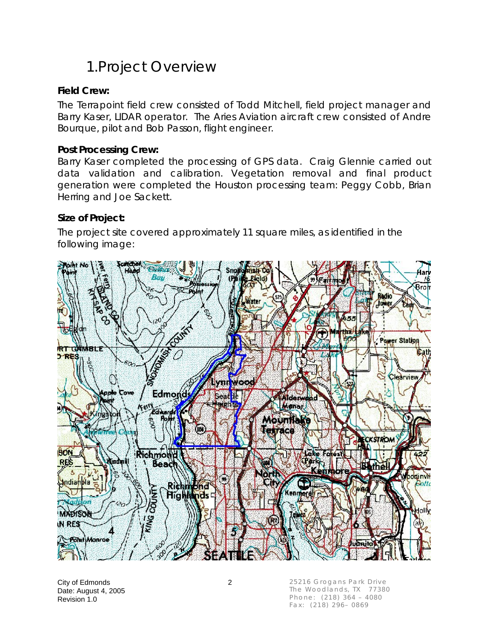## 1.Project Overview

### **Field Crew:**

The Terrapoint field crew consisted of Todd Mitchell, field project manager and Barry Kaser, LIDAR operator. The Aries Aviation aircraft crew consisted of Andre Bourque, pilot and Bob Passon, flight engineer.

#### **Post Processing Crew:**

Barry Kaser completed the processing of GPS data. Craig Glennie carried out data validation and calibration. Vegetation removal and final product generation were completed the Houston processing team: Peggy Cobb, Brian Herring and Joe Sackett.

#### **Size of Project:**

The project site covered approximately 11 square miles, as identified in the following image:



City of Edmonds 2 Date: August 4, 2005 Revision 1.0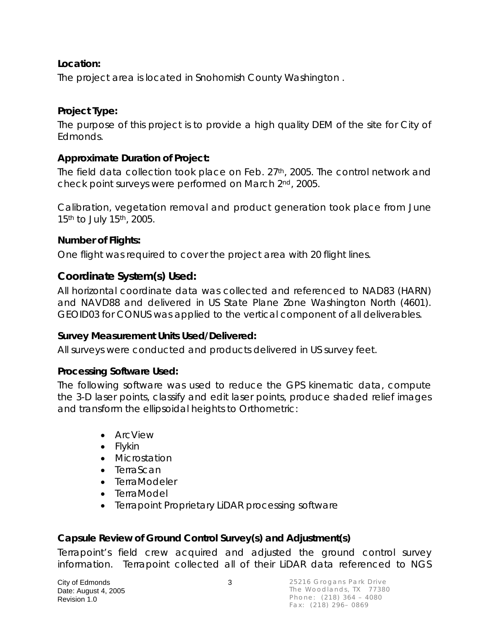### **Location:**

The project area is located in Snohomish County Washington .

### **Project Type:**

The purpose of this project is to provide a high quality DEM of the site for City of Edmonds.

### **Approximate Duration of Project:**

The field data collection took place on Feb. 27<sup>th</sup>, 2005. The control network and check point surveys were performed on March 2nd, 2005.

Calibration, vegetation removal and product generation took place from June 15<sup>th</sup> to July 15<sup>th</sup>, 2005.

### **Number of Flights:**

One flight was required to cover the project area with 20 flight lines.

### **Coordinate System(s) Used:**

All horizontal coordinate data was collected and referenced to NAD83 (HARN) and NAVD88 and delivered in US State Plane Zone Washington North (4601). GEOID03 for CONUS was applied to the vertical component of all deliverables.

### **Survey Measurement Units Used/Delivered:**

All surveys were conducted and products delivered in US survey feet.

### **Processing Software Used:**

The following software was used to reduce the GPS kinematic data, compute the 3-D laser points, classify and edit laser points, produce shaded relief images and transform the ellipsoidal heights to Orthometric:

- ArcView
- Flykin
- Microstation
- TerraScan
- TerraModeler
- TerraModel
- Terrapoint Proprietary LiDAR processing software

### **Capsule Review of Ground Control Survey(s) and Adjustment(s)**

Terrapoint's field crew acquired and adjusted the ground control survey information. Terrapoint collected all of their LiDAR data referenced to NGS

City of Edmonds 3 Date: August 4, 2005 Revision 1.0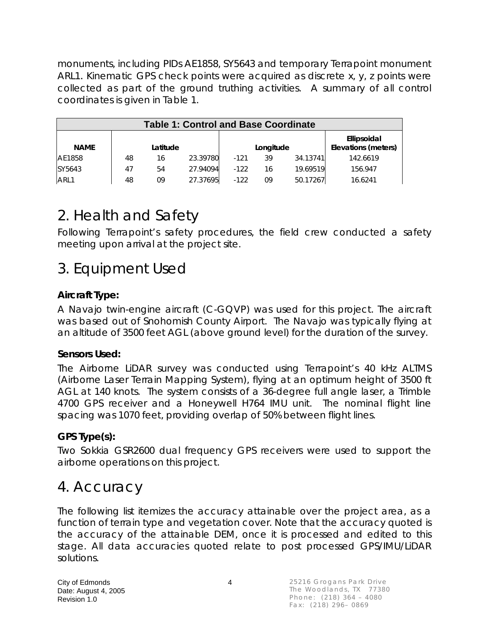monuments, including PIDs AE1858, SY5643 and temporary Terrapoint monument ARL1. Kinematic GPS check points were acquired as discrete x, y, z points were collected as part of the ground truthing activities. A summary of all control coordinates is given in Table 1.

| <b>Table 1: Control and Base Coordinate</b> |          |    |          |           |    |          |                                    |  |
|---------------------------------------------|----------|----|----------|-----------|----|----------|------------------------------------|--|
| <b>NAME</b>                                 | Latitude |    |          | Longitude |    |          | Ellipsoidal<br>Elevations (meters) |  |
| AE1858                                      | 48       | 16 | 23.39780 | $-121$    | 39 | 34.13741 | 142.6619                           |  |
| SY5643                                      | 47       | 54 | 27.94094 | $-122$    | 16 | 19.69519 | 156.947                            |  |
| ARL1                                        | 48       | 09 | 27.37695 | $-122$    | 09 | 50.17267 | 16.6241                            |  |

# 2. Health and Safety

Following Terrapoint's safety procedures, the field crew conducted a safety meeting upon arrival at the project site.

## 3. Equipment Used

### **Aircraft Type:**

A Navajo twin-engine aircraft (C-GQVP) was used for this project. The aircraft was based out of Snohomish County Airport. The Navajo was typically flying at an altitude of 3500 feet AGL (above ground level) for the duration of the survey.

### **Sensors Used:**

The Airborne LiDAR survey was conducted using Terrapoint's 40 kHz ALTMS (Airborne Laser Terrain Mapping System), flying at an optimum height of 3500 ft AGL at 140 knots. The system consists of a 36-degree full angle laser, a Trimble 4700 GPS receiver and a Honeywell H764 IMU unit. The nominal flight line spacing was 1070 feet, providing overlap of 50% between flight lines.

### **GPS Type(s):**

Two Sokkia GSR2600 dual frequency GPS receivers were used to support the airborne operations on this project.

### 4. Accuracy

The following list itemizes the accuracy attainable over the project area, as a function of terrain type and vegetation cover. Note that the accuracy quoted is the accuracy of the attainable DEM, once it is processed and edited to this stage. All data accuracies quoted relate to post processed GPS/IMU/LiDAR solutions.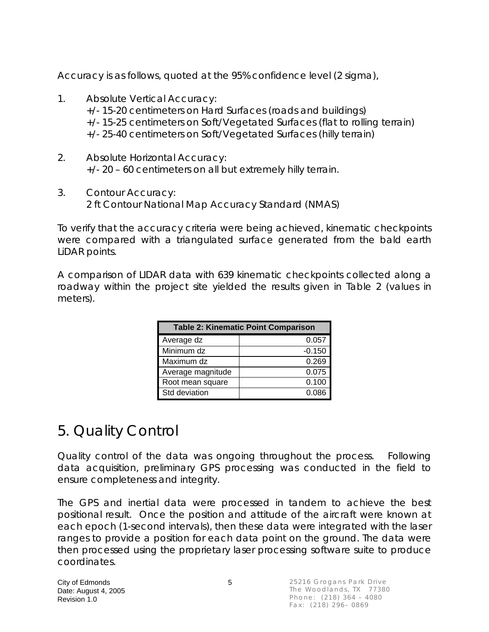Accuracy is as follows, quoted at the 95% confidence level (2 sigma),

- 1. Absolute Vertical Accuracy: +/- 15-20 centimeters on Hard Surfaces (roads and buildings) +/- 15-25 centimeters on Soft/Vegetated Surfaces (flat to rolling terrain) +/- 25-40 centimeters on Soft/Vegetated Surfaces (hilly terrain)
- 2. Absolute Horizontal Accuracy: +/- 20 – 60 centimeters on all but extremely hilly terrain.
- 3. Contour Accuracy: 2 ft Contour National Map Accuracy Standard (NMAS)

To verify that the accuracy criteria were being achieved, kinematic checkpoints were compared with a triangulated surface generated from the bald earth LiDAR points.

A comparison of LIDAR data with 639 kinematic checkpoints collected along a roadway within the project site yielded the results given in Table 2 (values in meters).

| <b>Table 2: Kinematic Point Comparison</b> |          |  |  |  |  |
|--------------------------------------------|----------|--|--|--|--|
| Average dz                                 | 0.057    |  |  |  |  |
| Minimum dz                                 | $-0.150$ |  |  |  |  |
| Maximum dz                                 | 0.269    |  |  |  |  |
| Average magnitude                          | 0.075    |  |  |  |  |
| Root mean square                           | 0.100    |  |  |  |  |
| Std deviation                              | 0.086    |  |  |  |  |

# 5. Quality Control

Quality control of the data was ongoing throughout the process. Following data acquisition, preliminary GPS processing was conducted in the field to ensure completeness and integrity.

The GPS and inertial data were processed in tandem to achieve the best positional result. Once the position and attitude of the aircraft were known at each epoch (1-second intervals), then these data were integrated with the laser ranges to provide a position for each data point on the ground. The data were then processed using the proprietary laser processing software suite to produce coordinates.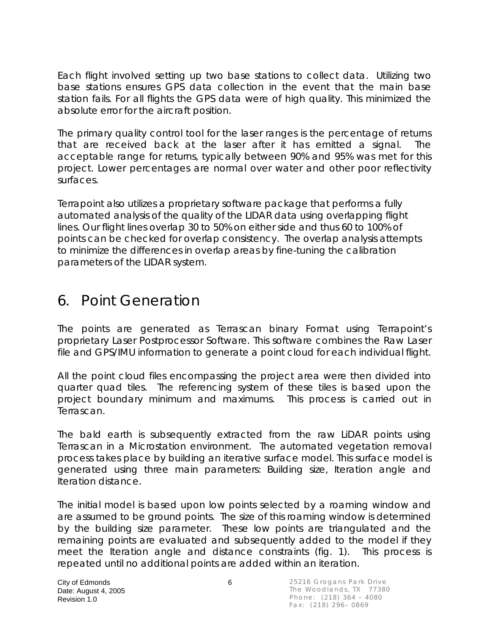Each flight involved setting up two base stations to collect data. Utilizing two base stations ensures GPS data collection in the event that the main base station fails. For all flights the GPS data were of high quality. This minimized the absolute error for the aircraft position.

The primary quality control tool for the laser ranges is the percentage of returns that are received back at the laser after it has emitted a signal. The acceptable range for returns, typically between 90% and 95% was met for this project. Lower percentages are normal over water and other poor reflectivity surfaces.

Terrapoint also utilizes a proprietary software package that performs a fully automated analysis of the quality of the LIDAR data using overlapping flight lines. Our flight lines overlap 30 to 50% on either side and thus 60 to 100% of points can be checked for overlap consistency. The overlap analysis attempts to minimize the differences in overlap areas by fine-tuning the calibration parameters of the LIDAR system.

## 6. Point Generation

The points are generated as Terrascan binary Format using Terrapoint's proprietary Laser Postprocessor Software. This software combines the Raw Laser file and GPS/IMU information to generate a point cloud for each individual flight.

All the point cloud files encompassing the project area were then divided into quarter quad tiles. The referencing system of these tiles is based upon the project boundary minimum and maximums. This process is carried out in Terrascan.

The bald earth is subsequently extracted from the raw LiDAR points using Terrascan in a Microstation environment. The automated vegetation removal process takes place by building an iterative surface model. This surface model is generated using three main parameters: Building size, Iteration angle and Iteration distance.

The initial model is based upon low points selected by a roaming window and are assumed to be ground points. The size of this roaming window is determined by the building size parameter. These low points are triangulated and the remaining points are evaluated and subsequently added to the model if they meet the Iteration angle and distance constraints (fig. 1). This process is repeated until no additional points are added within an iteration.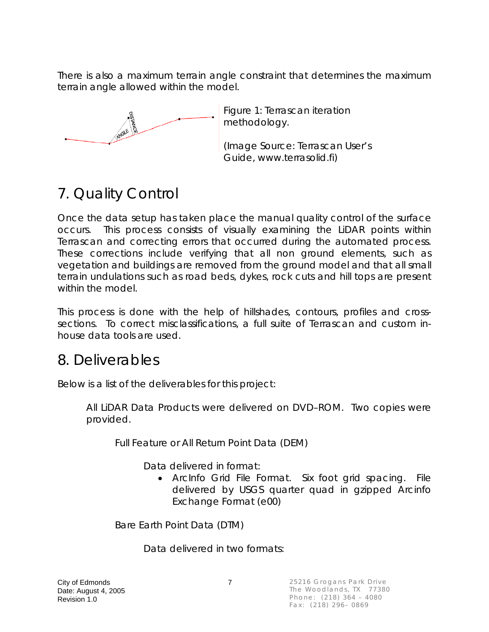There is also a maximum terrain angle constraint that determines the maximum terrain angle allowed within the model.



Figure 1: Terrascan iteration methodology.

(Image Source: Terrascan User's Guide, www.terrasolid.fi)

# 7. Quality Control

Once the data setup has taken place the manual quality control of the surface occurs. This process consists of visually examining the LiDAR points within Terrascan and correcting errors that occurred during the automated process. These corrections include verifying that all non ground elements, such as vegetation and buildings are removed from the ground model and that all small terrain undulations such as road beds, dykes, rock cuts and hill tops are present within the model.

This process is done with the help of hillshades, contours, profiles and crosssections. To correct misclassifications, a full suite of Terrascan and custom inhouse data tools are used.

### 8. Deliverables

Below is a list of the deliverables for this project:

All LiDAR Data Products were delivered on DVD–ROM. Two copies were provided.

Full Feature or All Return Point Data (DEM)

Data delivered in format:

• ArcInfo Grid File Format. Six foot grid spacing. File delivered by USGS quarter quad in gzipped Arcinfo Exchange Format (e00)

Bare Earth Point Data (DTM)

Data delivered in two formats: